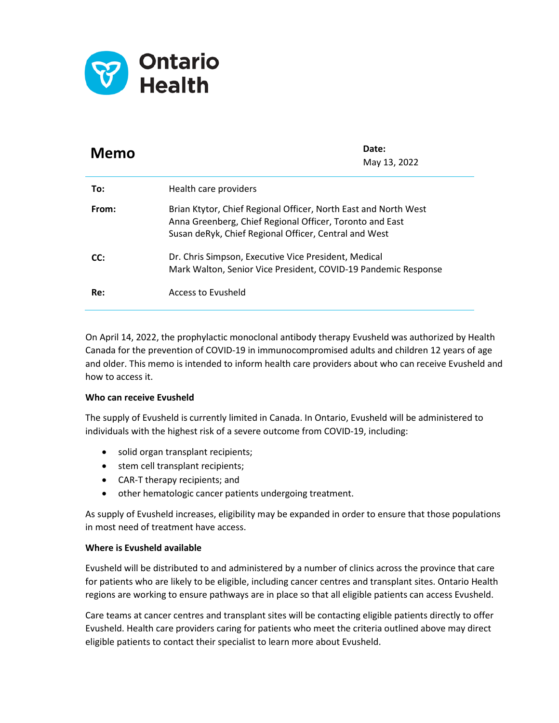

| <b>Memo</b> | Date:<br>May 13, 2022                                                                                                                                                                |
|-------------|--------------------------------------------------------------------------------------------------------------------------------------------------------------------------------------|
| To:         | Health care providers                                                                                                                                                                |
| From:       | Brian Ktytor, Chief Regional Officer, North East and North West<br>Anna Greenberg, Chief Regional Officer, Toronto and East<br>Susan deRyk, Chief Regional Officer, Central and West |
| CC:         | Dr. Chris Simpson, Executive Vice President, Medical<br>Mark Walton, Senior Vice President, COVID-19 Pandemic Response                                                               |
| Re:         | Access to Evusheld                                                                                                                                                                   |

On April 14, 2022, the prophylactic monoclonal antibody therapy Evusheld was authorized by Health Canada for the prevention of COVID-19 in immunocompromised adults and children 12 years of age and older. This memo is intended to inform health care providers about who can receive Evusheld and how to access it.

## **Who can receive Evusheld**

The supply of Evusheld is currently limited in Canada. In Ontario, Evusheld will be administered to individuals with the highest risk of a severe outcome from COVID-19, including:

- solid organ transplant recipients;
- stem cell transplant recipients;
- CAR-T therapy recipients; and
- other hematologic cancer patients undergoing treatment.

As supply of Evusheld increases, eligibility may be expanded in order to ensure that those populations in most need of treatment have access.

## **Where is Evusheld available**

Evusheld will be distributed to and administered by a number of clinics across the province that care for patients who are likely to be eligible, including cancer centres and transplant sites. Ontario Health regions are working to ensure pathways are in place so that all eligible patients can access Evusheld.

Care teams at cancer centres and transplant sites will be contacting eligible patients directly to offer Evusheld. Health care providers caring for patients who meet the criteria outlined above may direct eligible patients to contact their specialist to learn more about Evusheld.